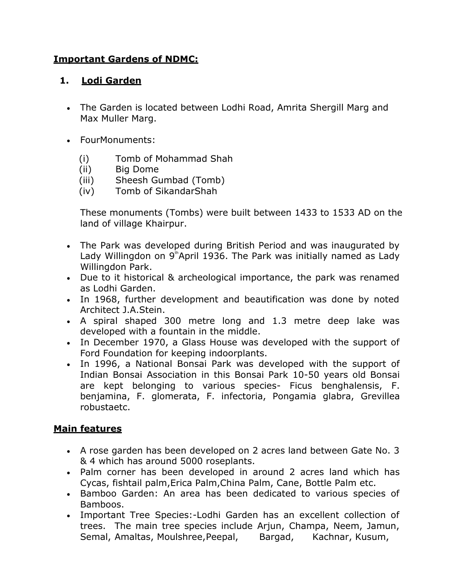#### **Important Gardens of NDMC:**

#### **1. Lodi Garden**

- The Garden is located between Lodhi Road, Amrita Shergill Marg and Max Muller Marg.
- FourMonuments:
	- (i) Tomb of Mohammad Shah
	- (ii) Big Dome
	- (iii) Sheesh Gumbad (Tomb)
	- (iv) Tomb of SikandarShah

These monuments (Tombs) were built between 1433 to 1533 AD on the land of village Khairpur.

- The Park was developed during British Period and was inaugurated by Lady Willingdon on 9<sup>th</sup>April 1936. The Park was initially named as Lady Willingdon Park.
- Due to it historical & archeological importance, the park was renamed as Lodhi Garden.
- In 1968, further development and beautification was done by noted Architect J.A.Stein.
- A spiral shaped 300 metre long and 1.3 metre deep lake was developed with a fountain in the middle.
- In December 1970, a Glass House was developed with the support of Ford Foundation for keeping indoorplants.
- In 1996, a National Bonsai Park was developed with the support of Indian Bonsai Association in this Bonsai Park 10-50 years old Bonsai are kept belonging to various species- Ficus benghalensis, F. benjamina, F. glomerata, F. infectoria, Pongamia glabra, Grevillea robustaetc.

## **Main features**

- A rose garden has been developed on 2 acres land between Gate No. 3 & 4 which has around 5000 roseplants.
- Palm corner has been developed in around 2 acres land which has Cycas, fishtail palm,Erica Palm,China Palm, Cane, Bottle Palm etc.
- Bamboo Garden: An area has been dedicated to various species of Bamboos.
- Important Tree Species:-Lodhi Garden has an excellent collection of trees. The main tree species include Arjun, Champa, Neem, Jamun, Semal, Amaltas, Moulshree, Peepal, Bargad, Kachnar, Kusum,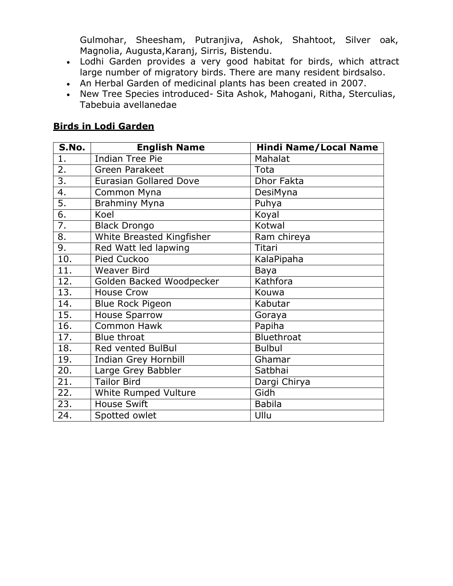Gulmohar, Sheesham, Putranjiva, Ashok, Shahtoot, Silver oak, Magnolia, Augusta,Karanj, Sirris, Bistendu.

- Lodhi Garden provides a very good habitat for birds, which attract large number of migratory birds. There are many resident birdsalso.
- An Herbal Garden of medicinal plants has been created in 2007.
- New Tree Species introduced- Sita Ashok, Mahogani, Ritha, Sterculias, Tabebuia avellanedae

#### **Birds in Lodi Garden**

| <b>S.No.</b>      | <b>English Name</b>           | <b>Hindi Name/Local Name</b> |
|-------------------|-------------------------------|------------------------------|
| 1.                | <b>Indian Tree Pie</b>        | Mahalat                      |
| 2.                | <b>Green Parakeet</b>         | Tota                         |
| $\overline{3}$ .  | <b>Eurasian Gollared Dove</b> | <b>Dhor Fakta</b>            |
| 4.                | Common Myna                   | DesiMyna                     |
| 5.                | <b>Brahminy Myna</b>          | Puhya                        |
| $\overline{6}$ .  | Koel                          | Koyal                        |
| 7.                | <b>Black Drongo</b>           | Kotwal                       |
| 8.                | White Breasted Kingfisher     | Ram chireya                  |
| 9.                | Red Watt led lapwing          | Titari                       |
| 10.               | Pied Cuckoo                   | KalaPipaha                   |
| $\overline{11}$ . | <b>Weaver Bird</b>            | Baya                         |
| 12.               | Golden Backed Woodpecker      | Kathfora                     |
| 13.               | <b>House Crow</b>             | Kouwa                        |
| 14.               | <b>Blue Rock Pigeon</b>       | Kabutar                      |
| 15.               | <b>House Sparrow</b>          | Goraya                       |
| 16.               | <b>Common Hawk</b>            | Papiha                       |
| $\overline{17}$ . | <b>Blue throat</b>            | Bluethroat                   |
| 18.               | Red vented BulBul             | <b>Bulbul</b>                |
| 19.               | <b>Indian Grey Hornbill</b>   | Ghamar                       |
| 20.               | Large Grey Babbler            | Satbhai                      |
| $\overline{21}$ . | <b>Tailor Bird</b>            | Dargi Chirya                 |
| $\overline{22}$ . | <b>White Rumped Vulture</b>   | Gidh                         |
| 23.               | <b>House Swift</b>            | <b>Babila</b>                |
| 24.               | Spotted owlet                 | Ullu                         |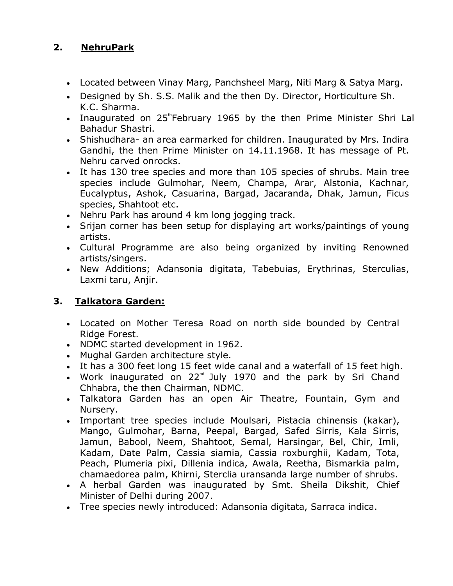## **2. NehruPark**

- Located between Vinay Marg, Panchsheel Marg, Niti Marg & Satya Marg.
- Designed by Sh. S.S. Malik and the then Dy. Director, Horticulture Sh. K.C. Sharma.
- Inaugurated on  $25^{\circ}$ February 1965 by the then Prime Minister Shri Lal Bahadur Shastri.
- Shishudhara- an area earmarked for children. Inaugurated by Mrs. Indira Gandhi, the then Prime Minister on 14.11.1968. It has message of Pt. Nehru carved onrocks.
- It has 130 tree species and more than 105 species of shrubs. Main tree species include Gulmohar, Neem, Champa, Arar, Alstonia, Kachnar, Eucalyptus, Ashok, Casuarina, Bargad, Jacaranda, Dhak, Jamun, Ficus species, Shahtoot etc.
- Nehru Park has around 4 km long jogging track.
- Srijan corner has been setup for displaying art works/paintings of young artists.
- Cultural Programme are also being organized by inviting Renowned artists/singers.
- New Additions; Adansonia digitata, Tabebuias, Erythrinas, Sterculias, Laxmi taru, Anjir.

## **3. Talkatora Garden:**

- Located on Mother Teresa Road on north side bounded by Central Ridge Forest.
- NDMC started development in 1962.
- Mughal Garden architecture style.
- It has a 300 feet long 15 feet wide canal and a waterfall of 15 feet high.
- Work inaugurated on  $22^{nd}$  July 1970 and the park by Sri Chand Chhabra, the then Chairman, NDMC.
- Talkatora Garden has an open Air Theatre, Fountain, Gym and Nursery.
- Important tree species include Moulsari, Pistacia chinensis (kakar), Mango, Gulmohar, Barna, Peepal, Bargad, Safed Sirris, Kala Sirris, Jamun, Babool, Neem, Shahtoot, Semal, Harsingar, Bel, Chir, Imli, Kadam, Date Palm, Cassia siamia, Cassia roxburghii, Kadam, Tota, Peach, Plumeria pixi, Dillenia indica, Awala, Reetha, Bismarkia palm, chamaedorea palm, Khirni, Sterclia uransanda large number of shrubs.
- A herbal Garden was inaugurated by Smt. Sheila Dikshit, Chief Minister of Delhi during 2007.
- Tree species newly introduced: Adansonia digitata, Sarraca indica.